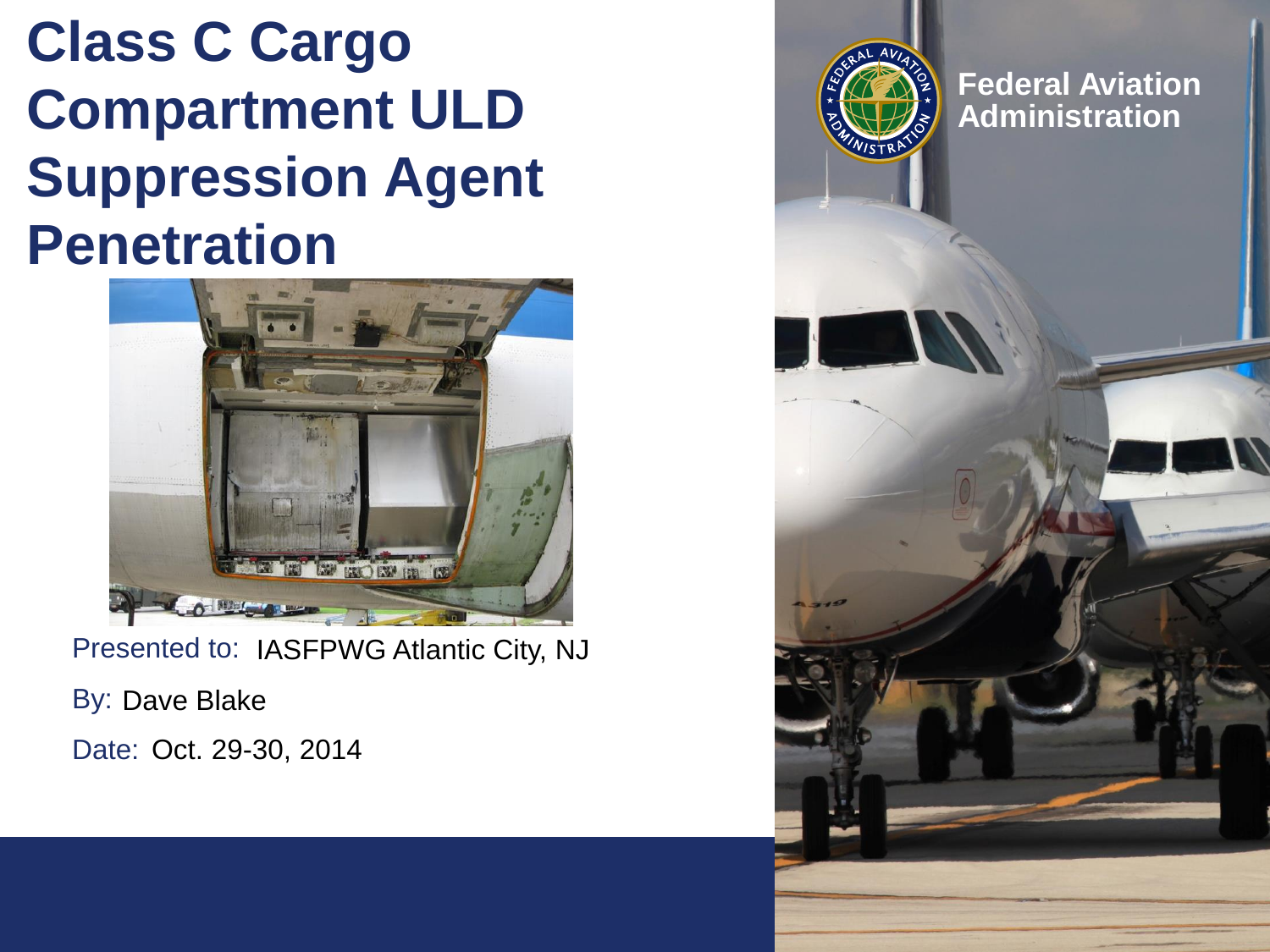## **Class C Cargo Compartment ULD Suppression Agent Penetration**



Presented to: IASFPWG Atlantic City, NJ

By: Dave Blake

Date: Oct. 29-30, 2014

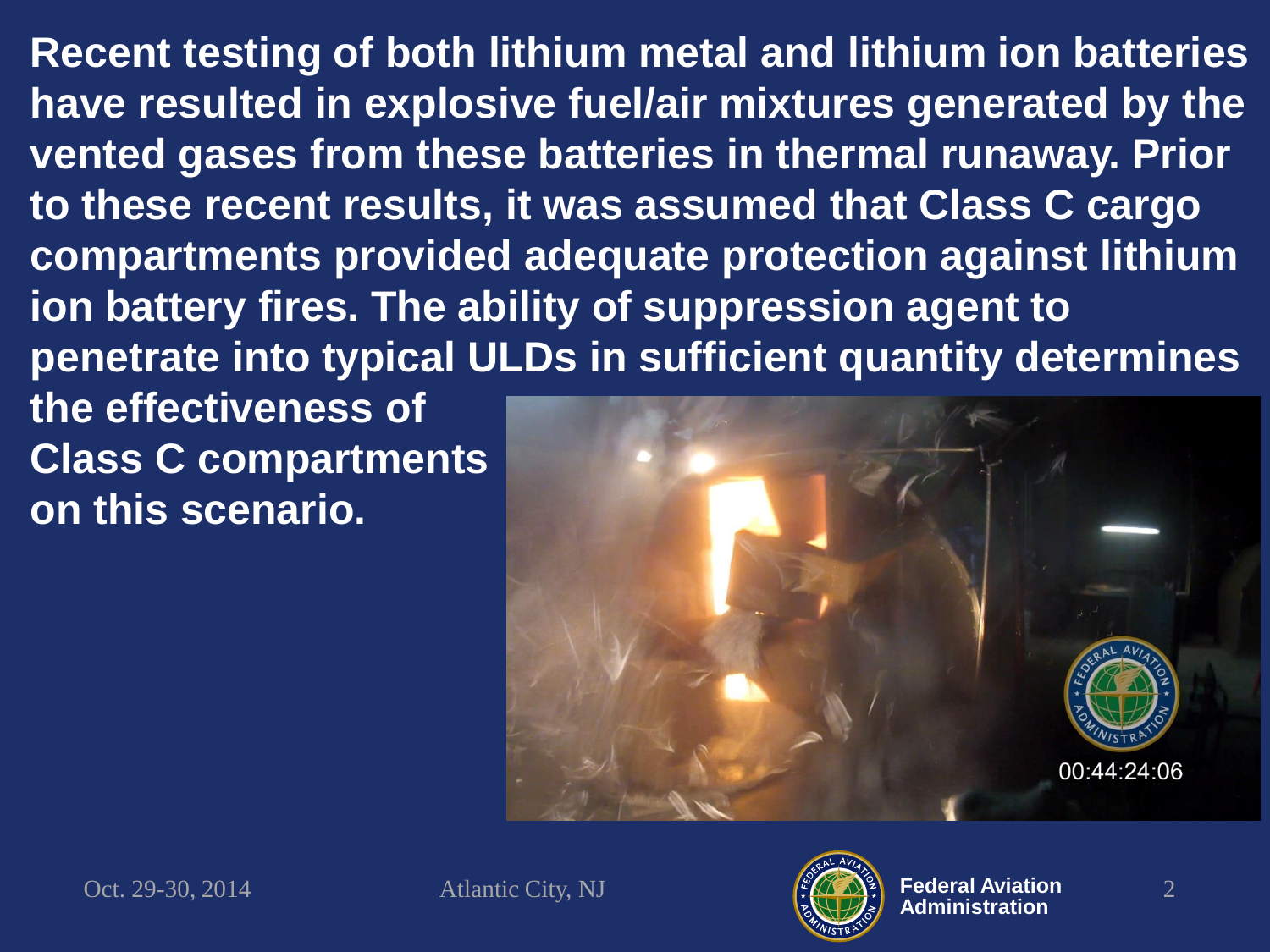**Recent testing of both lithium metal and lithium ion batteries have resulted in explosive fuel/air mixtures generated by the vented gases from these batteries in thermal runaway. Prior to these recent results, it was assumed that Class C cargo compartments provided adequate protection against lithium ion battery fires. The ability of suppression agent to penetrate into typical ULDs in sufficient quantity determines** 

**the effectiveness of Class C compartments on this scenario.**



Oct. 29-30, 2014 Atlantic City, NJ  $\left(\frac{1}{2}\sqrt{2N^2}\right)$  Federal Aviation 2

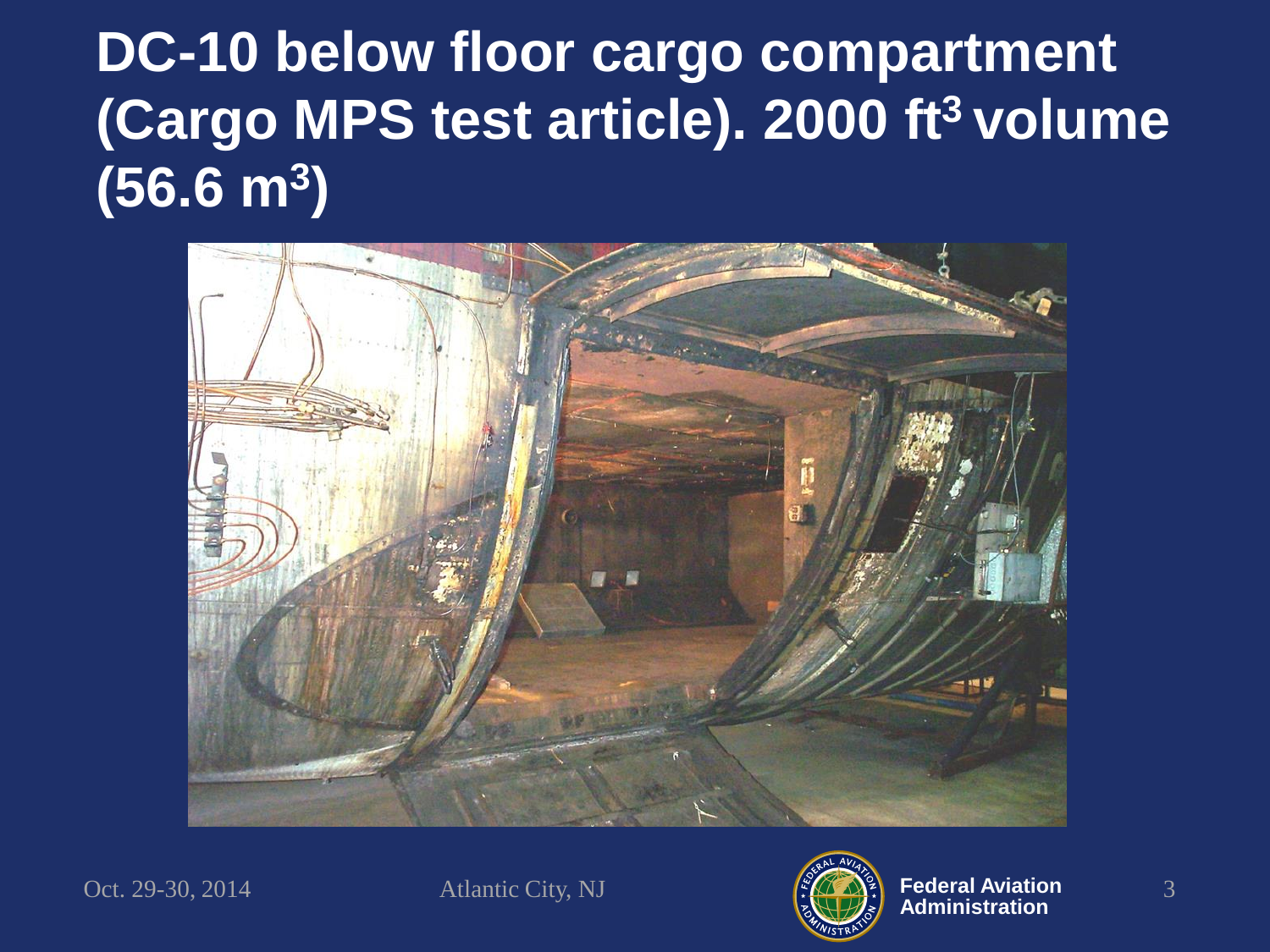## **DC-10 below floor cargo compartment (Cargo MPS test article). 2000 ft<sup>3</sup>volume (56.6 m<sup>3</sup> )**



Oct. 29-30, 2014 Atlantic City, NJ  $\left(\frac{\sqrt{2}}{2}\right)^2$  Federal Aviation 3

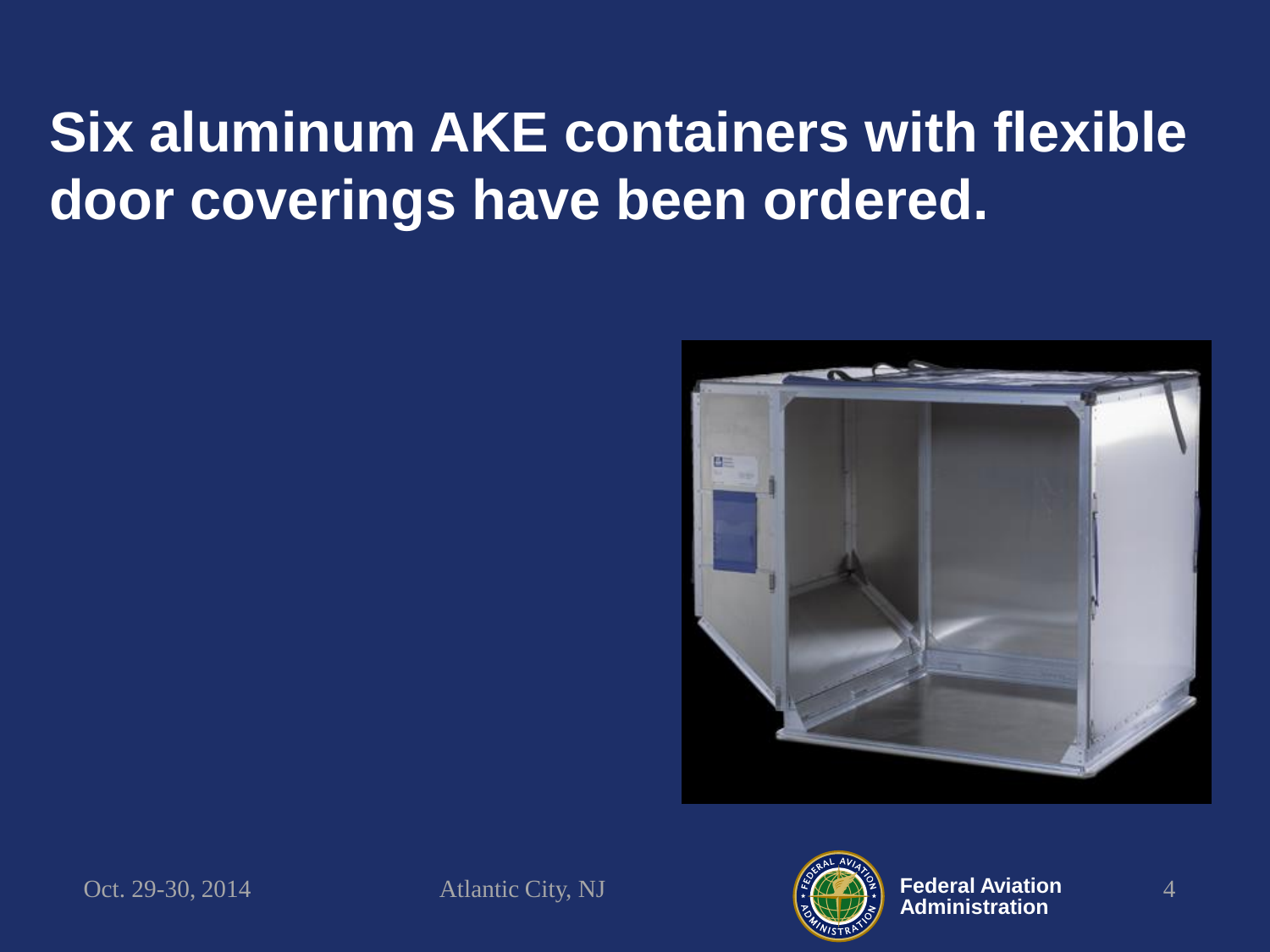## **Six aluminum AKE containers with flexible door coverings have been ordered.**



Oct. 29-30, 2014 Atlantic City, NJ  $\left(\frac{\sqrt{2}}{2}\right)^2$  Federal Aviation 4



**Federal Aviation Administration**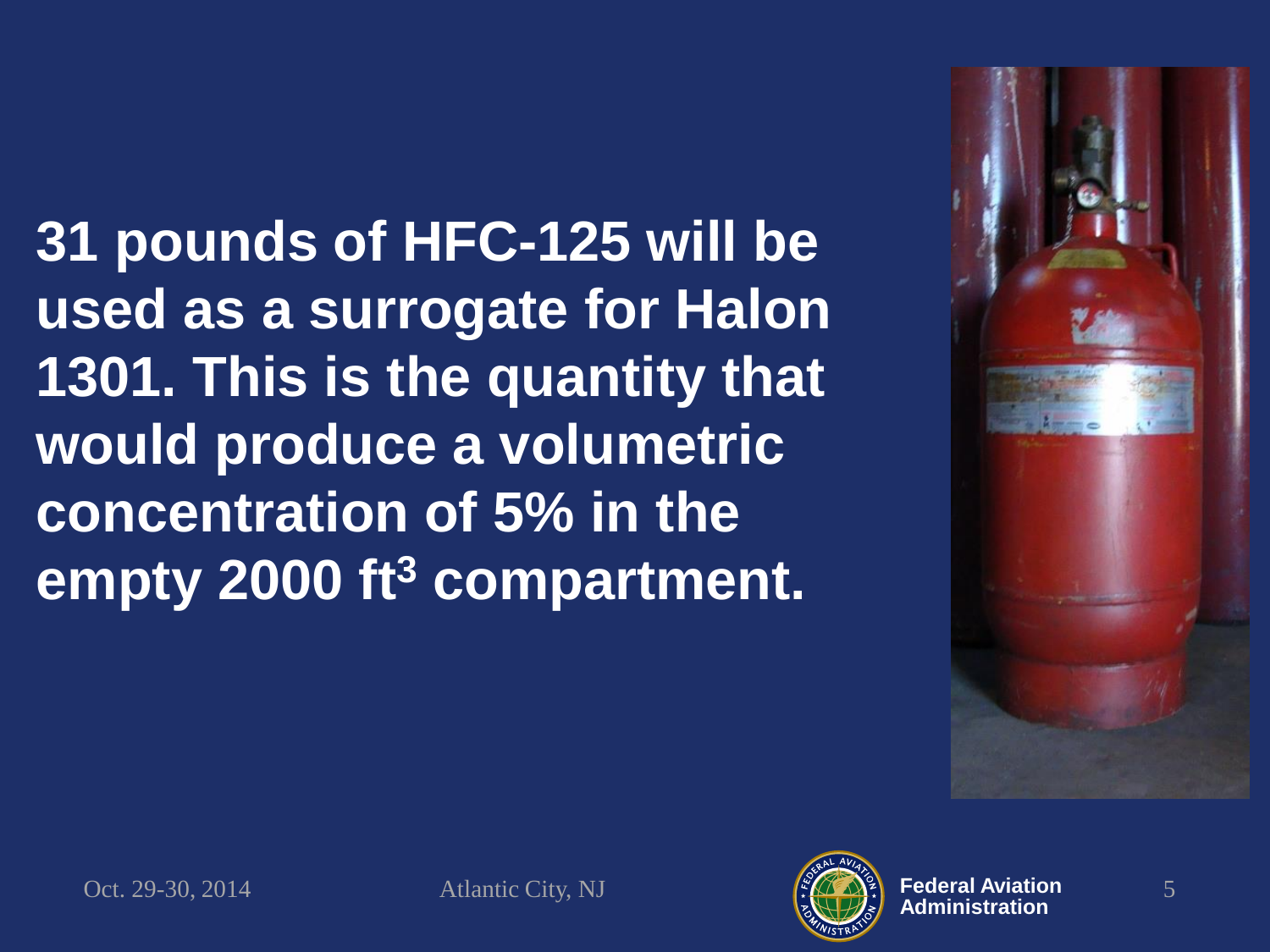**31 pounds of HFC-125 will be used as a surrogate for Halon 1301. This is the quantity that would produce a volumetric concentration of 5% in the empty 2000 ft<sup>3</sup> compartment.**



Oct. 29-30, 2014 Atlantic City, NJ  $\left(\frac{\sqrt{2}}{2}\right)^2$  Federal Aviation 5